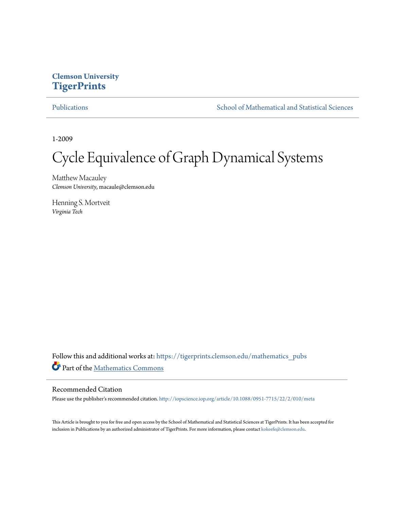## **Clemson University [TigerPrints](https://tigerprints.clemson.edu?utm_source=tigerprints.clemson.edu%2Fmathematics_pubs%2F5&utm_medium=PDF&utm_campaign=PDFCoverPages)**

[Publications](https://tigerprints.clemson.edu/mathematics_pubs?utm_source=tigerprints.clemson.edu%2Fmathematics_pubs%2F5&utm_medium=PDF&utm_campaign=PDFCoverPages) [School of Mathematical and Statistical Sciences](https://tigerprints.clemson.edu/mathematics?utm_source=tigerprints.clemson.edu%2Fmathematics_pubs%2F5&utm_medium=PDF&utm_campaign=PDFCoverPages)

1-2009

# Cycle Equivalence of Graph Dynamical Systems

Matthew Macauley *Clemson University*, macaule@clemson.edu

Henning S. Mortveit *Virginia Tech*

Follow this and additional works at: [https://tigerprints.clemson.edu/mathematics\\_pubs](https://tigerprints.clemson.edu/mathematics_pubs?utm_source=tigerprints.clemson.edu%2Fmathematics_pubs%2F5&utm_medium=PDF&utm_campaign=PDFCoverPages) Part of the [Mathematics Commons](http://network.bepress.com/hgg/discipline/174?utm_source=tigerprints.clemson.edu%2Fmathematics_pubs%2F5&utm_medium=PDF&utm_campaign=PDFCoverPages)

### Recommended Citation

Please use the publisher's recommended citation. <http://iopscience.iop.org/article/10.1088/0951-7715/22/2/010/meta>

This Article is brought to you for free and open access by the School of Mathematical and Statistical Sciences at TigerPrints. It has been accepted for inclusion in Publications by an authorized administrator of TigerPrints. For more information, please contact [kokeefe@clemson.edu.](mailto:kokeefe@clemson.edu)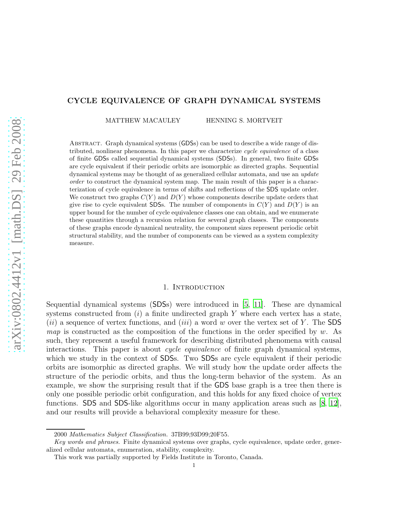#### CYCLE EQUIVALENCE OF GRAPH DYNAMICAL SYSTEMS

MATTHEW MACAULEY HENNING S. MORTVEIT

Abstract. Graph dynamical systems (GDSs) can be used to describe a wide range of distributed, nonlinear phenomena. In this paper we characterize cycle equivalence of a class of finite GDSs called sequential dynamical systems (SDSs). In general, two finite GDSs are cycle equivalent if their periodic orbits are isomorphic as directed graphs. Sequential dynamical systems may be thought of as generalized cellular automata, and use an *update* order to construct the dynamical system map. The main result of this paper is a characterization of cycle equivalence in terms of shifts and reflections of the SDS update order. We construct two graphs  $C(Y)$  and  $D(Y)$  whose components describe update orders that give rise to cycle equivalent SDSs. The number of components in  $C(Y)$  and  $D(Y)$  is an upper bound for the number of cycle equivalence classes one can obtain, and we enumerate these quantities through a recursion relation for several graph classes. The components of these graphs encode dynamical neutrality, the component sizes represent periodic orbit structural stability, and the number of components can be viewed as a system complexity measure.

#### 1. INTRODUCTION

Sequential dynamical systems (SDSs) were introduced in [\[5,](#page-15-0) [11](#page-15-1)]. These are dynamical systems constructed from  $(i)$  a finite undirected graph Y where each vertex has a state, (ii) a sequence of vertex functions, and (iii) a word w over the vertex set of Y. The SDS *map* is constructed as the composition of the functions in the order specified by w. As such, they represent a useful framework for describing distributed phenomena with causal interactions. This paper is about *cycle equivalence* of finite graph dynamical systems, which we study in the context of SDSs. Two SDSs are cycle equivalent if their periodic orbits are isomorphic as directed graphs. We will study how the update order affects the structure of the periodic orbits, and thus the long-term behavior of the system. As an example, we show the surprising result that if the GDS base graph is a tree then there is only one possible periodic orbit configuration, and this holds for any fixed choice of vertex functions. SDS and SDS-like algorithms occur in many application areas such as [\[8](#page-15-2), [12\]](#page-15-3), and our results will provide a behavioral complexity measure for these.

<sup>2000</sup> Mathematics Subject Classification. 37B99;93D99;20F55.

Key words and phrases. Finite dynamical systems over graphs, cycle equivalence, update order, generalized cellular automata, enumeration, stability, complexity.

This work was partially supported by Fields Institute in Toronto, Canada.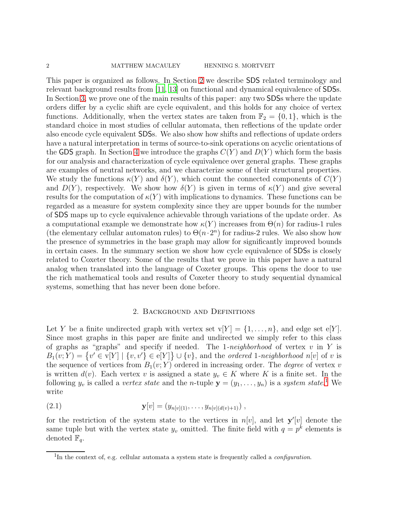2 MATTHEW MACAULEY HENNING S. MORTVEIT

This paper is organized as follows. In Section [2](#page-2-0) we describe SDS related terminology and relevant background results from [\[11](#page-15-1), [13](#page-15-4)] on functional and dynamical equivalence of SDSs. In Section [3,](#page-5-0) we prove one of the main results of this paper: any two SDSs where the update orders differ by a cyclic shift are cycle equivalent, and this holds for any choice of vertex functions. Additionally, when the vertex states are taken from  $\mathbb{F}_2 = \{0, 1\}$ , which is the standard choice in most studies of cellular automata, then reflections of the update order also encode cycle equivalent SDSs. We also show how shifts and reflections of update orders have a natural interpretation in terms of source-to-sink operations on acyclic orientations of the GDS graph. In Section [4](#page-7-0) we introduce the graphs  $C(Y)$  and  $D(Y)$  which form the basis for our analysis and characterization of cycle equivalence over general graphs. These graphs are examples of neutral networks, and we characterize some of their structural properties. We study the functions  $\kappa(Y)$  and  $\delta(Y)$ , which count the connected components of  $C(Y)$ and  $D(Y)$ , respectively. We show how  $\delta(Y)$  is given in terms of  $\kappa(Y)$  and give several results for the computation of  $\kappa(Y)$  with implications to dynamics. These functions can be regarded as a measure for system complexity since they are upper bounds for the number of SDS maps up to cycle equivalence achievable through variations of the update order. As a computational example we demonstrate how  $\kappa(Y)$  increases from  $\Theta(n)$  for radius-1 rules (the elementary cellular automaton rules) to  $\Theta(n \cdot 2^n)$  for radius-2 rules. We also show how the presence of symmetries in the base graph may allow for significantly improved bounds in certain cases. In the summary section we show how cycle equivalence of SDSs is closely related to Coxeter theory. Some of the results that we prove in this paper have a natural analog when translated into the language of Coxeter groups. This opens the door to use the rich mathematical tools and results of Coxeter theory to study sequential dynamical systems, something that has never been done before.

#### 2. Background and Definitions

<span id="page-2-0"></span>Let Y be a finite undirected graph with vertex set  $v[Y] = \{1, \ldots, n\}$ , and edge set  $e[Y]$ . Since most graphs in this paper are finite and undirected we simply refer to this class of graphs as "graphs" and specify if needed. The 1*-neighborhood* of vertex v in Y is  $B_1(v;Y) = \{v' \in v[Y] \mid \{v,v'\} \in e[Y]\} \cup \{v\}$ , and the *ordered* 1-neighborhood n[v] of v is the sequence of vertices from  $B_1(v; Y)$  ordered in increasing order. The *degree* of vertex v is written  $d(v)$ . Each vertex v is assigned a state  $y_v \in K$  where K is a finite set. In the following  $y_v$  is called a *vertex state* and the *n*-tuple  $\mathbf{y} = (y_1, \ldots, y_n)$  $\mathbf{y} = (y_1, \ldots, y_n)$  $\mathbf{y} = (y_1, \ldots, y_n)$  is a *system state*.<sup>1</sup> We write

(2.1) 
$$
\mathbf{y}[v] = (y_{n[v](1)}, \dots, y_{n[v](d(v)+1)}),
$$

for the restriction of the system state to the vertices in  $n[v]$ , and let  $y'[v]$  denote the same tuple but with the vertex state  $y_v$  omitted. The finite field with  $q = p^k$  elements is denoted  $\mathbb{F}_q$ .

<span id="page-2-1"></span><sup>&</sup>lt;sup>1</sup>In the context of, e.g. cellular automata a system state is frequently called a *configuration*.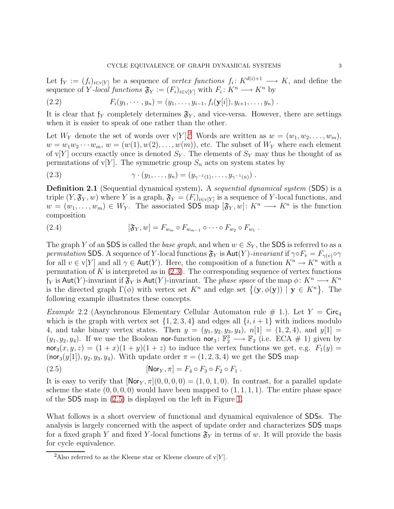Let  $f_Y := (f_i)_{i \in V[Y]}$  be a sequence of *vertex functions*  $f_i: K^{d(i)+1} \longrightarrow K$ , and define the sequence of Y-local functions  $\mathfrak{F}_Y := (F_i)_{i \in \mathcal{V}[Y]}$  with  $F_i: K^n \longrightarrow K^n$  by

(2.2) 
$$
F_i(y_1,\dots,y_n)=(y_1,\dots,y_{i-1},f_i(\mathbf{y}[i]),y_{i+1},\dots,y_n).
$$

It is clear that  $f_Y$  completely determines  $\mathfrak{F}_Y$ , and vice-versa. However, there are settings when it is easier to speak of one rather than the other.

Let  $W_Y$  denote the set of words over  $V[Y]^2$  $V[Y]^2$ . Words are written as  $w = (w_1, w_2, \ldots, w_m)$ ,  $w = w_1w_2\cdots w_m$ ,  $w = (w(1), w(2), \ldots, w(m))$ , etc. The subset of  $W_Y$  where each element of v[Y] occurs exactly once is denoted  $S_Y$ . The elements of  $S_Y$  may thus be thought of as permutations of v[Y]. The symmetric group  $S_n$  acts on system states by

<span id="page-3-1"></span>(2.3) 
$$
\gamma \cdot (y_1, \ldots, y_n) = (y_{\gamma^{-1}(1)}, \ldots, y_{\gamma^{-1}(n)}) .
$$

Definition 2.1 (Sequential dynamical system). A *sequential dynamical system* (SDS) is a triple  $(Y, \mathfrak{F}_Y, w)$  where Y is a graph,  $\mathfrak{F}_Y = (F_i)_{i \in \mathbf{v}[Y]}$  is a sequence of Y-local functions, and  $w = (w_1, \ldots, w_m) \in W_Y$ . The associated SDS map  $[\mathfrak{F}_Y, w] \colon K^n \longrightarrow K^n$  is the function composition

(2.4) 
$$
[\mathfrak{F}_Y, w] = F_{w_m} \circ F_{w_{m-1}} \circ \cdots \circ F_{w_2} \circ F_{w_1}.
$$

The graph Y of an SDS is called the *base graph*, and when  $w \in S_Y$ , the SDS is referred to as a *permutation* SDS. A sequence of Y-local functions  $\mathfrak{F}_Y$  is  $\text{Aut}(Y)$ -*invariant* if  $\gamma \circ F_v = F_{\gamma(v)} \circ \gamma$ for all  $v \in v[Y]$  and all  $\gamma \in \text{Aut}(Y)$ . Here, the composition of a function  $K^n \to K^n$  with a permutation of K is interpreted as in  $(2.3)$ . The corresponding sequence of vertex functions f<sub>Y</sub> is Aut(Y)-invariant if  $\mathfrak{F}_Y$  is Aut(Y)-invariant. The *phase space* of the map  $\phi: K^n \longrightarrow K^n$ is the directed graph  $\Gamma(\phi)$  with vertex set  $K^n$  and edge set  $\{(\mathbf{y}, \phi(\mathbf{y})) \mid \mathbf{y} \in K^n\}$ . The following example illustrates these concepts.

<span id="page-3-3"></span>*Example* 2.2 (Asynchronous Elementary Cellular Automaton rule  $\#$  1.). Let Y = Circ<sub>4</sub> which is the graph with vertex set  $\{1, 2, 3, 4\}$  and edges all  $\{i, i + 1\}$  with indices modulo 4, and take binary vertex states. Then  $y = (y_1, y_2, y_3, y_4)$ ,  $n[1] = (1, 2, 4)$ , and  $y[1] =$  $(y_1, y_2, y_4)$ . If we use the Boolean nor-function nor<sub>3</sub>:  $\mathbb{F}_2^3 \longrightarrow \mathbb{F}_2$  (i.e. ECA # 1) given by  $\textsf{nor}_3(x, y, z) = (1+x)(1+y)(1+z)$  to induce the vertex functions we get, e.g.  $F_1(y) =$  $(nor_3(y[1]), y_2, y_3, y_4)$ . With update order  $\pi = (1, 2, 3, 4)$  we get the SDS map

<span id="page-3-2"></span>
$$
[Nor_Y, \pi] = F_4 \circ F_3 \circ F_2 \circ F_1.
$$

It is easy to verify that  $\text{Nor}_Y, \pi | (0, 0, 0, 0) = (1, 0, 1, 0)$ . In contrast, for a parallel update scheme the state  $(0, 0, 0, 0)$  would have been mapped to  $(1, 1, 1, 1)$ . The entire phase space of the SDS map in [\(2.5\)](#page-3-2) is displayed on the left in Figure [1.](#page-5-1)

What follows is a short overview of functional and dynamical equivalence of SDSs. The analysis is largely concerned with the aspect of update order and characterizes SDS maps for a fixed graph Y and fixed Y-local functions  $\mathfrak{F}_Y$  in terms of w. It will provide the basis for cycle equivalence.

<span id="page-3-0"></span><sup>&</sup>lt;sup>2</sup>Also referred to as the Kleene star or Kleene closure of  $v[Y]$ .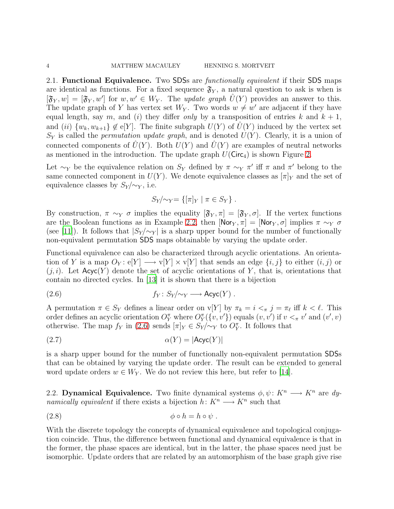2.1. Functional Equivalence. Two SDSs are *functionally equivalent* if their SDS maps are identical as functions. For a fixed sequence  $\mathfrak{F}_{Y}$ , a natural question to ask is when is  $[\mathfrak{F}_Y, w] = [\mathfrak{F}_Y, w']$  for  $w, w' \in W_Y$ . The *update graph*  $\hat{U}(Y)$  provides an answer to this. The update graph of Y has vertex set  $W_Y$ . Two words  $w \neq w'$  are adjacent if they have equal length, say m, and (i) they differ *only* by a transposition of entries k and  $k + 1$ , and (ii)  $\{w_k, w_{k+1}\} \notin \mathcal{e}[Y]$ . The finite subgraph  $U(Y)$  of  $\hat{U}(Y)$  induced by the vertex set  $S_Y$  is called the *permutation update graph*, and is denoted  $U(Y)$ . Clearly, it is a union of connected components of  $\hat{U}(Y)$ . Both  $U(Y)$  and  $\hat{U}(Y)$  are examples of neutral networks as mentioned in the introduction. The update graph  $U(\text{Circ}_4)$  is shown Figure [2.](#page-8-0)

Let  $\sim_Y$  be the equivalence relation on S<sub>Y</sub> defined by  $\pi \sim_Y \pi'$  iff  $\pi$  and  $\pi'$  belong to the same connected component in  $U(Y)$ . We denote equivalence classes as  $[\pi]_Y$  and the set of equivalence classes by  $S_Y/\sim_Y$ , i.e.

<span id="page-4-0"></span>
$$
S_Y/\sim_Y = \{ [\pi]_Y \mid \pi \in S_Y \} .
$$

By construction,  $\pi \sim_Y \sigma$  implies the equality  $[\mathfrak{F}_Y, \pi] = [\mathfrak{F}_Y, \sigma]$ . If the vertex functions are the Boolean functions as in Example [2.2,](#page-3-3) then  $[Nor_Y, \pi] = [Nor_Y, \sigma]$  implies  $\pi \sim_Y \sigma$ (see [\[11\]](#page-15-1)). It follows that  $|S_Y/\sim_Y|$  is a sharp upper bound for the number of functionally non-equivalent permutation SDS maps obtainable by varying the update order.

Functional equivalence can also be characterized through acyclic orientations. An orientation of Y is a map  $O_Y: e[Y] \longrightarrow v[Y] \times v[Y]$  that sends an edge  $\{i, j\}$  to either  $(i, j)$  or  $(j, i)$ . Let  $Acyc(Y)$  denote the set of acyclic orientations of Y, that is, orientations that contain no directed cycles. In [\[13](#page-15-4)] it is shown that there is a bijection

$$
(2.6) \t\t\t f_Y: S_Y/\sim_Y \longrightarrow \text{Acyc}(Y) .
$$

A permutation  $\pi \in S_Y$  defines a linear order on  $\mathsf{v}[Y]$  by  $\pi_k = i \leq \pi j = \pi_\ell$  iff  $k \leq \ell$ . This order defines an acyclic orientation  $O_Y^{\pi}$  where  $O_Y^{\pi}(\{v, v'\})$  equals  $(v, v')$  if  $v <_{\pi} v'$  and  $(v', v)$ otherwise. The map  $f_Y$  in [\(2.6\)](#page-4-0) sends  $[\pi]_Y \in S_Y/\sim_Y$  to  $O_Y^{\pi}$ . It follows that

$$
\alpha(Y) = |\mathsf{Acyc}(Y)|
$$

is a sharp upper bound for the number of functionally non-equivalent permutation SDSs that can be obtained by varying the update order. The result can be extended to general word update orders  $w \in W_Y$ . We do not review this here, but refer to [\[14\]](#page-15-5).

2.2. **Dynamical Equivalence.** Two finite dynamical systems  $\phi, \psi \colon K^n \longrightarrow K^n$  are dy*namically equivalent* if there exists a bijection  $h: K^n \longrightarrow K^n$  such that

$$
(2.8) \t\t \t\t \phi \circ h = h \circ \psi .
$$

With the discrete topology the concepts of dynamical equivalence and topological conjugation coincide. Thus, the difference between functional and dynamical equivalence is that in the former, the phase spaces are identical, but in the latter, the phase spaces need just be isomorphic. Update orders that are related by an automorphism of the base graph give rise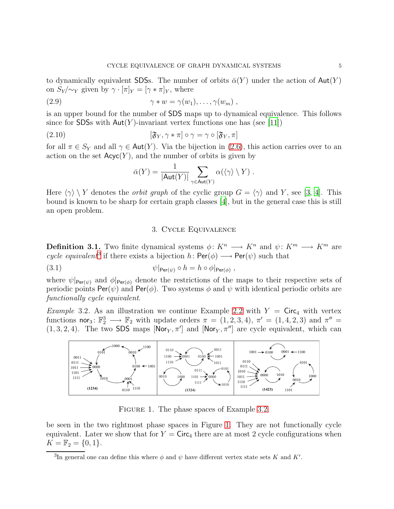to dynamically equivalent SDSs. The number of orbits  $\bar{\alpha}(Y)$  under the action of  $\text{Aut}(Y)$ on  $S_Y/\sim_Y$  given by  $\gamma \cdot [\pi]_Y = [\gamma \cdot \pi]_Y$ , where

(2.9) 
$$
\gamma * w = \gamma(w_1), \dots, \gamma(w_m) ,
$$

is an upper bound for the number of SDS maps up to dynamical equivalence. This follows since for SDSs with  $Aut(Y)$ -invariant vertex functions one has (see [\[11](#page-15-1)])

(2.10) 
$$
[\mathfrak{F}_Y, \gamma * \pi] \circ \gamma = \gamma \circ [\mathfrak{F}_Y, \pi]
$$

for all  $\pi \in S_Y$  and all  $\gamma \in \text{Aut}(Y)$ . Via the bijection in [\(2.6\)](#page-4-0), this action carries over to an action on the set  $Acyc(Y)$ , and the number of orbits is given by

$$
\bar{\alpha}(Y) = \frac{1}{|\text{Aut}(Y)|} \sum_{\gamma \in \text{Aut}(Y)} \alpha(\langle \gamma \rangle \setminus Y) .
$$

<span id="page-5-0"></span>Here  $\langle \gamma \rangle \setminus Y$  denotes the *orbit graph* of the cyclic group  $G = \langle \gamma \rangle$  and Y, see [\[3,](#page-14-0) [4](#page-15-6)]. This bound is known to be sharp for certain graph classes [\[4\]](#page-15-6), but in the general case this is still an open problem.

#### <span id="page-5-4"></span>3. Cycle Equivalence

**Definition 3.1.** Two finite dynamical systems  $\phi: K^n \longrightarrow K^n$  and  $\psi: K^m \longrightarrow K^m$  are *cycle equivalent*<sup>[3](#page-5-2)</sup> if there exists a bijection  $h: \text{Per}(\phi) \longrightarrow \text{Per}(\psi)$  such that

(3.1) 
$$
\psi|_{\text{Per}(\psi)} \circ h = h \circ \phi|_{\text{Per}(\phi)},
$$

where  $\psi|_{\text{Per}(\psi)}$  and  $\phi|_{\text{Per}(\phi)}$  denote the restrictions of the maps to their respective sets of periodic points  $\text{Per}(\psi)$  and  $\text{Per}(\phi)$ . Two systems  $\phi$  and  $\psi$  with identical periodic orbits are *functionally cycle equivalent*.

<span id="page-5-3"></span>*Example* 3.2. As an illustration we continue Example [2.2](#page-3-3) with  $Y = \text{Circ}_4$  with vertex functions nor<sub>3</sub>:  $\mathbb{F}_2^3 \longrightarrow \mathbb{F}_2$  with update orders  $\pi = (1, 2, 3, 4)$ ,  $\pi' = (1, 4, 2, 3)$  and  $\pi'' =$  $(1, 3, 2, 4)$ . The two SDS maps  $[Nor_Y, \pi']$  and  $[Nor_Y, \pi'']$  are cycle equivalent, which can



<span id="page-5-1"></span>FIGURE 1. The phase spaces of Example [3.2.](#page-5-3)

be seen in the two rightmost phase spaces in Figure [1.](#page-5-1) They are not functionally cycle equivalent. Later we show that for  $Y = \text{Circ}_4$  there are at most 2 cycle configurations when  $K = \mathbb{F}_2 = \{0, 1\}.$ 

<span id="page-5-2"></span><sup>&</sup>lt;sup>3</sup>In general one can define this where  $\phi$  and  $\psi$  have different vertex state sets K and K'.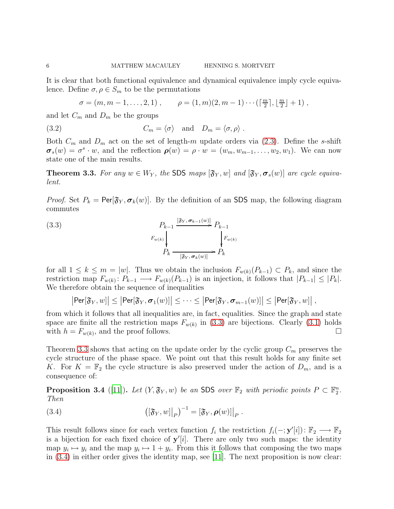It is clear that both functional equivalence and dynamical equivalence imply cycle equivalence. Define  $\sigma, \rho \in S_m$  to be the permutations

$$
\sigma = (m, m-1, \ldots, 2, 1), \qquad \rho = (1, m)(2, m-1) \cdots (\lceil \frac{m}{2} \rceil, \lfloor \frac{m}{2} \rfloor + 1),
$$

and let  $C_m$  and  $D_m$  be the groups

(3.2) 
$$
C_m = \langle \sigma \rangle \quad \text{and} \quad D_m = \langle \sigma, \rho \rangle.
$$

Both  $C_m$  and  $D_m$  act on the set of length-m update orders via [\(2.3\)](#page-3-1). Define the s-shift  $\sigma_s(w) = \sigma^s \cdot w$ , and the reflection  $\rho(w) = \rho \cdot w = (w_m, w_{m-1}, \ldots, w_2, w_1)$ . We can now state one of the main results.

<span id="page-6-1"></span>**Theorem 3.3.** For any  $w \in W_Y$ , the SDS maps  $[\mathfrak{F}_Y, w]$  and  $[\mathfrak{F}_Y, \sigma_s(w)]$  are cycle equiva*lent.*

*Proof.* Set  $P_k = \text{Per}[\mathfrak{F}_Y, \sigma_k(w)]$ . By the definition of an SDS map, the following diagram commutes

<span id="page-6-0"></span>(3.3)  

$$
P_{k-1} \xrightarrow{\left[\mathfrak{F}_{Y}, \sigma_{k-1}(w)\right]} P_{k-1}
$$

$$
P_{k} \xrightarrow{\left[\mathfrak{F}_{Y}, \sigma_{k}(w)\right]} P_{k}
$$

$$
P_{k} \xrightarrow{\left[\mathfrak{F}_{Y}, \sigma_{k}(w)\right]} P_{k}
$$

for all  $1 \leq k \leq m = |w|$ . Thus we obtain the inclusion  $F_{w(k)}(P_{k-1}) \subset P_k$ , and since the restriction map  $F_{w(k)}: P_{k-1} \longrightarrow F_{w(k)}(P_{k-1})$  is an injection, it follows that  $|P_{k-1}| \leq |P_k|$ . We therefore obtain the sequence of inequalities

 $|\mathsf{Per}[\mathfrak{F}_Y,w]|\leq |\mathsf{Per}[\mathfrak{F}_Y,\boldsymbol{\sigma}_1(w)]|\leq \cdots \leq |\mathsf{Per}[\mathfrak{F}_Y,\boldsymbol{\sigma}_{m-1}(w)]|\leq |\mathsf{Per}[\mathfrak{F}_Y,w]|$ 

from which it follows that all inequalities are, in fact, equalities. Since the graph and state space are finite all the restriction maps  $F_{w(k)}$  in [\(3.3\)](#page-6-0) are bijections. Clearly [\(3.1\)](#page-5-4) holds with  $h = F_{w(k)}$ , and the proof follows.

Theorem [3.3](#page-6-1) shows that acting on the update order by the cyclic group  $C_m$  preserves the cycle structure of the phase space. We point out that this result holds for any finite set K. For  $K = \mathbb{F}_2$  the cycle structure is also preserved under the action of  $D_m$ , and is a consequence of:

<span id="page-6-4"></span>**Proposition 3.4** ([\[11](#page-15-1)]). Let  $(Y, \mathfrak{F}_Y, w)$  be an SDS over  $\mathbb{F}_2$  with periodic points  $P \subset \mathbb{F}_2^n$ . *Then*

<span id="page-6-2"></span>(3.4) 
$$
\left( [\mathfrak{F}_Y, w] \big|_P \right)^{-1} = [\mathfrak{F}_Y, \boldsymbol{\rho}(w)] \big|_P.
$$

<span id="page-6-3"></span>This result follows since for each vertex function  $f_i$  the restriction  $f_i(-; y'[i]) \colon \mathbb{F}_2 \longrightarrow \mathbb{F}_2$ is a bijection for each fixed choice of  $y'[i]$ . There are only two such maps: the identity map  $y_i \mapsto y_i$  and the map  $y_i \mapsto 1 + y_i$ . From this it follows that composing the two maps in  $(3.4)$  in either order gives the identity map, see [\[11\]](#page-15-1). The next proposition is now clear: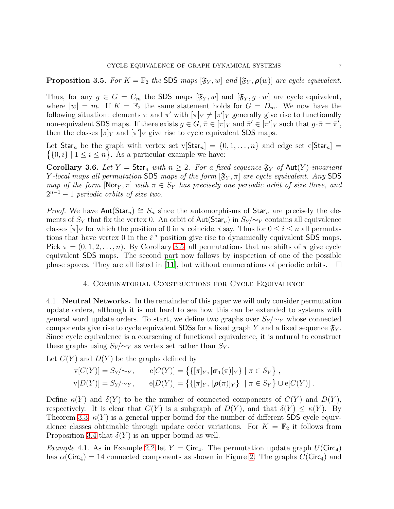**Proposition 3.5.** *For*  $K = \mathbb{F}_2$  *the* SDS *maps*  $[\mathfrak{F}_Y, w]$  *and*  $[\mathfrak{F}_Y, \boldsymbol{\rho}(w)]$  *are cycle equivalent.* 

Thus, for any  $g \in G = C_m$  the SDS maps  $[\mathfrak{F}_Y, w]$  and  $[\mathfrak{F}_Y, g \cdot w]$  are cycle equivalent, where  $|w| = m$ . If  $K = \mathbb{F}_2$  the same statement holds for  $G = D_m$ . We now have the following situation: elements  $\pi$  and  $\pi'$  with  $[\pi]_Y \neq [\pi']_Y$  generally give rise to functionally non-equivalent SDS maps. If there exists  $g \in G$ ,  $\bar{\pi} \in [\pi]_Y$  and  $\bar{\pi}' \in [\pi']_Y$  such that  $g \cdot \bar{\pi} = \bar{\pi}'$ , then the classes  $[\pi]_Y$  and  $[\pi']_Y$  give rise to cycle equivalent SDS maps.

 $\{\{0,i\} \mid 1 \leq i \leq n\}$ . As a particular example we have: Let Star<sub>n</sub> be the graph with vertex set  $v[Star_n] = \{0, 1, ..., n\}$  and edge set  $e[Star_n] =$ 

Corollary 3.6. Let  $Y = \text{Star}_n$  *with*  $n \geq 2$ . For a fixed sequence  $\mathfrak{F}_Y$  of  $\text{Aut}(Y)$ -invariant Y-local maps all permutation SDS maps of the form  $[\mathfrak{F}_{Y}, \pi]$  are cycle equivalent. Any SDS *map of the form*  $[Nor_Y, \pi]$  *with*  $\pi \in S_Y$  *has precisely one periodic orbit of size three, and*  $2^{n-1} - 1$  *periodic orbits of size two.* 

*Proof.* We have  $Aut(Star_n) \cong S_n$  since the automorphisms of  $Star_n$  are precisely the elements of  $S_Y$  that fix the vertex 0. An orbit of  $\text{Aut}(\text{Star}_n)$  in  $S_Y/\sim_Y$  contains all equivalence classes  $[\pi]_Y$  for which the position of 0 in  $\pi$  coincide, i say. Thus for  $0 \le i \le n$  all permutations that have vertex 0 in the  $i<sup>th</sup>$  position give rise to dynamically equivalent SDS maps. Pick  $\pi = (0, 1, 2, \ldots, n)$ . By Corollary [3.5,](#page-6-3) all permutations that are shifts of  $\pi$  give cycle equivalent SDS maps. The second part now follows by inspection of one of the possible phase spaces. They are all listed in [\[11\]](#page-15-1), but without enumerations of periodic orbits.  $\Box$ 

#### 4. Combinatorial Constructions for Cycle Equivalence

<span id="page-7-0"></span>4.1. Neutral Networks. In the remainder of this paper we will only consider permutation update orders, although it is not hard to see how this can be extended to systems with general word update orders. To start, we define two graphs over  $S_Y/\sim_Y$  whose connected components give rise to cycle equivalent SDSs for a fixed graph Y and a fixed sequence  $\mathfrak{F}_Y$ . Since cycle equivalence is a coarsening of functional equivalence, it is natural to construct these graphs using  $S_Y/\sim_Y$  as vertex set rather than  $S_Y$ .

Let  $C(Y)$  and  $D(Y)$  be the graphs defined by

$$
v[C(Y)] = S_Y/\sim_Y, \qquad e[C(Y)] = \{ \{ [\pi]_Y, [\sigma_1(\pi)]_Y \} \mid \pi \in S_Y \},
$$
  

$$
v[D(Y)] = S_Y/\sim_Y, \qquad e[D(Y)] = \{ \{ [\pi]_Y, [\rho(\pi)]_Y \} \mid \pi \in S_Y \} \cup e[C(Y)].
$$

Define  $\kappa(Y)$  and  $\delta(Y)$  to be the number of connected components of  $C(Y)$  and  $D(Y)$ , respectively. It is clear that  $C(Y)$  is a subgraph of  $D(Y)$ , and that  $\delta(Y) \leq \kappa(Y)$ . By Theorem [3.3,](#page-6-1)  $\kappa(Y)$  is a general upper bound for the number of different SDS cycle equivalence classes obtainable through update order variations. For  $K = \mathbb{F}_2$  it follows from Proposition [3.4](#page-6-4) that  $\delta(Y)$  is an upper bound as well.

*Example* 4.1. As in Example [2.2](#page-3-3) let  $Y = \text{Circ}_4$ . The permutation update graph  $U(\text{Circ}_4)$ has  $\alpha$ (Circ<sub>4</sub>) = 14 connected components as shown in Figure [2.](#page-8-0) The graphs  $C$ (Circ<sub>4</sub>) and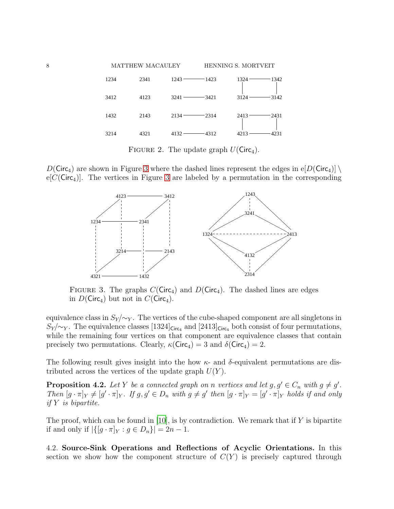

<span id="page-8-0"></span>FIGURE 2. The update graph  $U(\text{Circ}_4)$ .

 $D(\text{Circ}_4)$  are shown in Figure [3](#page-8-1) where the dashed lines represent the edges in e[D(Circ<sub>4</sub>)] \  $e[C(\text{Circ}_4)]$ . The vertices in Figure [3](#page-8-1) are labeled by a permutation in the corresponding



<span id="page-8-1"></span>FIGURE 3. The graphs  $C(\text{Circ}_4)$  and  $D(\text{Circ}_4)$ . The dashed lines are edges in  $D(Circ_4)$  but not in  $C(Circ_4)$ .

equivalence class in  $S_Y/\sim_Y$ . The vertices of the cube-shaped component are all singletons in  $S_Y/\sim_Y$ . The equivalence classes [1324]<sub>Circ4</sub> and [2413]<sub>Circ4</sub> both consist of four permutations, while the remaining four vertices on that component are equivalence classes that contain precisely two permutations. Clearly,  $\kappa$ (Circ<sub>4</sub>) = 3 and  $\delta$ (Circ<sub>4</sub>) = 2.

The following result gives insight into the how  $\kappa$ - and  $\delta$ -equivalent permutations are distributed across the vertices of the update graph  $U(Y)$ .

**Proposition 4.2.** Let Y be a connected graph on n vertices and let  $g, g' \in C_n$  with  $g \neq g'$ . *Then*  $[g \cdot \pi]_Y \neq [g' \cdot \pi]_Y$ . If  $g, g' \in D_n$  with  $g \neq g'$  then  $[g \cdot \pi]_Y = [g' \cdot \pi]_Y$  holds if and only *if* Y *is bipartite.*

The proof, which can be found in [\[10\]](#page-15-7), is by contradiction. We remark that if  $Y$  is bipartite if and only if  $|\{[g \cdot \pi]_Y : g \in D_n\}| = 2n - 1$ .

4.2. Source-Sink Operations and Reflections of Acyclic Orientations. In this section we show how the component structure of  $C(Y)$  is precisely captured through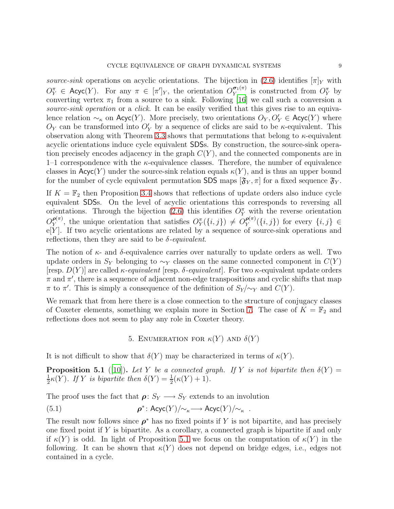*source-sink* operations on acyclic orientations. The bijection in [\(2.6\)](#page-4-0) identifies  $[\pi]_Y$  with  $O_Y^{\pi} \in \mathsf{Acyc}(Y)$ . For any  $\pi \in [\pi']_Y$ , the orientation  $O_Y^{\sigma_1(\pi)}$  $_Y^{\sigma_1(\pi)}$  is constructed from  $O_Y^{\pi}$  by converting vertex  $\pi_1$  from a source to a sink. Following [\[16](#page-15-8)] we call such a conversion a *source-sink operation* or a *click*. It can be easily verified that this gives rise to an equivalence relation  $\sim_{\kappa}$  on Acyc(Y). More precisely, two orientations  $O_Y, O'_Y \in \text{Acyc}(Y)$  where  $O_Y$  can be transformed into  $O'_Y$  by a sequence of clicks are said to be  $\kappa$ -equivalent. This observation along with Theorem [3.3](#page-6-1) shows that permutations that belong to  $\kappa$ -equivalent acyclic orientations induce cycle equivalent SDSs. By construction, the source-sink operation precisely encodes adjacency in the graph  $C(Y)$ , and the connected components are in 1–1 correspondence with the  $\kappa$ -equivalence classes. Therefore, the number of equivalence classes in  $Acyc(Y)$  under the source-sink relation equals  $\kappa(Y)$ , and is thus an upper bound for the number of cycle equivalent permutation SDS maps  $[\mathfrak{F}_{Y}, \pi]$  for a fixed sequence  $\mathfrak{F}_{Y}$ .

If  $K = \mathbb{F}_2$  then Proposition [3.4](#page-6-4) shows that reflections of update orders also induce cycle equivalent SDSs. On the level of acyclic orientations this corresponds to reversing all orientations. Through the bijection [\(2.6\)](#page-4-0) this identifies  $O_Y^{\pi}$  with the reverse orientation  $O_Y^{\boldsymbol{\rho}(\pi)}$  $P_Y^{(\pi)}$ , the unique orientation that satisfies  $O_Y^{\pi}(\lbrace i,j \rbrace) \neq O_Y^{p(\pi)}$  $P_Y^{(\pi)}(\{i,j\})$  for every  $\{i,j\} \in$  $e[Y]$ . If two acyclic orientations are related by a sequence of source-sink operations and reflections, then they are said to be  $\delta$ -*equivalent*.

The notion of  $\kappa$ - and  $\delta$ -equivalence carries over naturally to update orders as well. Two update orders in  $S_Y$  belonging to  $\sim_Y$  classes on the same connected component in  $C(Y)$ [resp. D(Y )] are called κ*-equivalent* [resp. δ*-equivalent*]. For two κ-equivalent update orders  $\pi$  and  $\pi'$ , there is a sequence of adjacent non-edge transpositions and cyclic shifts that map  $\pi$  to  $\pi'$ . This is simply a consequence of the definition of  $S_Y/\sim_Y$  and  $C(Y)$ .

We remark that from here there is a close connection to the structure of conjugacy classes of Coxeter elements, something we explain more in Section [7.](#page-13-0) The case of  $K = \mathbb{F}_2$  and reflections does not seem to play any role in Coxeter theory.

#### 5. ENUMERATION FOR  $\kappa(Y)$  AND  $\delta(Y)$

<span id="page-9-0"></span>It is not difficult to show that  $\delta(Y)$  may be characterized in terms of  $\kappa(Y)$ .

**Proposition 5.1** ([\[10\]](#page-15-7)). Let Y be a connected graph. If Y is not bipartite then  $\delta(Y)$  = 1  $\frac{1}{2}\kappa(Y)$ *. If* Y *is bipartite then*  $\delta(Y) = \frac{1}{2}(\kappa(Y) + 1)$ *.* 

The proof uses the fact that  $\rho: S_Y \longrightarrow S_Y$  extends to an involution

(5.1) 
$$
\rho^* \colon \text{Acyc}(Y)/\!\!\sim_{\kappa} \longrightarrow \text{Acyc}(Y)/\!\!\sim_{\kappa} .
$$

<span id="page-9-1"></span>The result now follows since  $\rho^*$  has no fixed points if Y is not bipartite, and has precisely one fixed point if  $Y$  is bipartite. As a corollary, a connected graph is bipartite if and only if  $\kappa(Y)$  is odd. In light of Proposition [5.1](#page-9-0) we focus on the computation of  $\kappa(Y)$  in the following. It can be shown that  $\kappa(Y)$  does not depend on bridge edges, i.e., edges not contained in a cycle.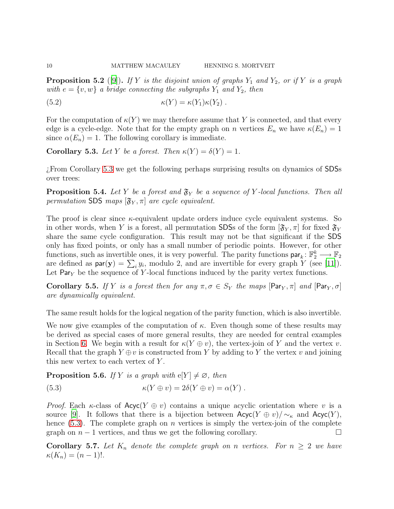**Proposition 5.2** ([\[9](#page-15-9)]). If Y is the disjoint union of graphs  $Y_1$  and  $Y_2$ , or if Y is a graph *with*  $e = \{v, w\}$  *a bridge connecting the subgraphs*  $Y_1$  *and*  $Y_2$ *, then* 

(5.2)  $\kappa(Y) = \kappa(Y_1)\kappa(Y_2)$ .

For the computation of  $\kappa(Y)$  we may therefore assume that Y is connected, and that every edge is a cycle-edge. Note that for the empty graph on n vertices  $E_n$  we have  $\kappa(E_n) = 1$ since  $\alpha(E_n) = 1$ . The following corollary is immediate.

<span id="page-10-0"></span>**Corollary 5.3.** Let Y be a forest. Then  $\kappa(Y) = \delta(Y) = 1$ .

¿From Corollary [5.3](#page-10-0) we get the following perhaps surprising results on dynamics of SDSs over trees:

**Proposition 5.4.** Let Y be a forest and  $\mathfrak{F}_Y$  be a sequence of Y-local functions. Then all *permutation* SDS *maps*  $[\mathfrak{F}_Y, \pi]$  *are cycle equivalent.* 

The proof is clear since  $\kappa$ -equivalent update orders induce cycle equivalent systems. So in other words, when Y is a forest, all permutation SDSs of the form  $[\mathfrak{F}_Y, \pi]$  for fixed  $\mathfrak{F}_Y$ share the same cycle configuration. This result may not be that significant if the SDS only has fixed points, or only has a small number of periodic points. However, for other functions, such as invertible ones, it is very powerful. The parity functions  $\textsf{par}_k: \mathbb{F}_2^k \longrightarrow \mathbb{F}_2$ are defined as  $\textsf{par}(\mathbf{y}) = \sum_i y_i$ , modulo 2, and are invertible for every graph Y (see [\[11\]](#page-15-1)). Let  $Par<sub>V</sub>$  be the sequence of Y-local functions induced by the parity vertex functions.

Corollary 5.5. If Y *is a forest then for any*  $\pi, \sigma \in S_Y$  *the maps*  $\lbrack \text{Par}_Y, \pi \rbrack$  *and*  $\lbrack \text{Par}_Y, \sigma \rbrack$ *are dynamically equivalent.*

The same result holds for the logical negation of the parity function, which is also invertible.

We now give examples of the computation of  $\kappa$ . Even though some of these results may be derived as special cases of more general results, they are needed for central examples in Section [6.](#page-12-0) We begin with a result for  $\kappa(Y \oplus v)$ , the vertex-join of Y and the vertex v. Recall that the graph  $Y \oplus v$  is constructed from Y by adding to Y the vertex v and joining this new vertex to each vertex of  $Y$ .

<span id="page-10-2"></span>**Proposition 5.6.** *If* Y *is a graph with*  $e[Y] \neq \emptyset$ *, then* 

<span id="page-10-1"></span>(5.3) 
$$
\kappa(Y \oplus v) = 2\delta(Y \oplus v) = \alpha(Y).
$$

*Proof.* Each  $\kappa$ -class of  $\text{Acyc}(Y \oplus v)$  contains a unique acyclic orientation where v is a source [\[9\]](#page-15-9). It follows that there is a bijection between  $Acyc(Y \oplus v)/\sim_{\kappa}$  and  $Acyc(Y)$ , hence  $(5.3)$ . The complete graph on *n* vertices is simply the vertex-join of the complete graph on  $n-1$  vertices, and thus we get the following corollary.

**Corollary 5.7.** Let  $K_n$  denote the complete graph on n vertices. For  $n \geq 2$  we have  $\kappa(K_n) = (n-1)!$ .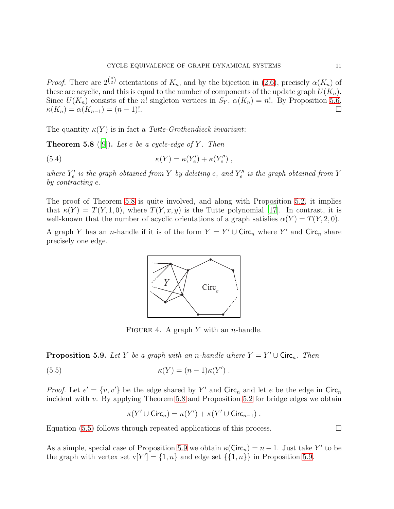*Proof.* There are  $2^{n \choose 2}$  orientations of  $K_n$ , and by the bijection in [\(2.6\)](#page-4-0), precisely  $\alpha(K_n)$  of these are acyclic, and this is equal to the number of components of the update graph  $U(K_n)$ . Since  $U(K_n)$  consists of the n! singleton vertices in  $S_Y$ ,  $\alpha(K_n) = n!$ . By Proposition [5.6,](#page-10-2)  $\kappa(K_n) = \alpha(K_{n-1}) = (n-1)!$ .

<span id="page-11-0"></span>The quantity  $\kappa(Y)$  is in fact a *Tutte-Grothendieck invariant*:

Theorem 5.8 ([\[9](#page-15-9)]). *Let* e *be a cycle-edge of* Y *. Then*

(5.4) 
$$
\kappa(Y) = \kappa(Y'_e) + \kappa(Y''_e) ,
$$

where  $Y'_e$  $\mathcal{E}'_e$  is the graph obtained from Y by deleting e, and  $Y''_e$ e *is the graph obtained from* Y *by contracting* e*.*

The proof of Theorem [5.8](#page-11-0) is quite involved, and along with Proposition [5.2,](#page-9-1) it implies that  $\kappa(Y) = T(Y, 1, 0)$ , where  $T(Y, x, y)$  is the Tutte polynomial [\[17](#page-15-10)]. In contrast, it is well-known that the number of acyclic orientations of a graph satisfies  $\alpha(Y) = T(Y, 2, 0)$ .

A graph Y has an *n*-handle if it is of the form  $Y = Y' \cup \text{Circ}_n$  where Y' and  $\text{Circ}_n$  share precisely one edge.

<span id="page-11-3"></span>

<span id="page-11-1"></span>FIGURE 4. A graph Y with an *n*-handle.

<span id="page-11-2"></span>**Proposition 5.9.** Let Y be a graph with an n-handle where  $Y = Y' \cup \text{Circ}_n$ . Then

(5.5) 
$$
\kappa(Y) = (n-1)\kappa(Y').
$$

*Proof.* Let  $e' = \{v, v'\}$  be the edge shared by Y' and Circ<sub>n</sub> and let e be the edge in Circ<sub>n</sub> incident with  $v$ . By applying Theorem [5.8](#page-11-0) and Proposition [5.2](#page-9-1) for bridge edges we obtain

$$
\kappa(Y' \cup \text{Circ}_n) = \kappa(Y') + \kappa(Y' \cup \text{Circ}_{n-1}) .
$$

Equation [\(5.5\)](#page-11-1) follows through repeated applications of this process.  $\Box$ 

As a simple, special case of Proposition [5.9](#page-11-2) we obtain  $\kappa(\text{Circ}_n) = n - 1$ . Just take Y' to be the graph with vertex set  $v[Y'] = \{1, n\}$  and edge set  $\{\{1, n\}\}\$ in Proposition [5.9.](#page-11-2)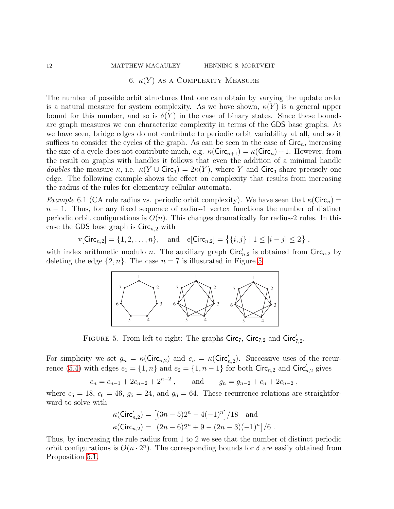#### <span id="page-12-0"></span>12 MATTHEW MACAULEY HENNING S. MORTVEIT

#### 6.  $\kappa(Y)$  as a COMPLEXITY MEASURE

The number of possible orbit structures that one can obtain by varying the update order is a natural measure for system complexity. As we have shown,  $\kappa(Y)$  is a general upper bound for this number, and so is  $\delta(Y)$  in the case of binary states. Since these bounds are graph measures we can characterize complexity in terms of the GDS base graphs. As we have seen, bridge edges do not contribute to periodic orbit variability at all, and so it suffices to consider the cycles of the graph. As can be seen in the case of  $Circ_n$ , increasing the size of a cycle does not contribute much, e.g.  $\kappa(\text{Circ}_{n+1}) = \kappa(\text{Circ}_n) + 1$ . However, from the result on graphs with handles it follows that even the addition of a minimal handle *doubles* the measure  $\kappa$ , i.e.  $\kappa(Y \cup \text{Circ}_3) = 2\kappa(Y)$ , where Y and Circ<sub>3</sub> share precisely one edge. The following example shows the effect on complexity that results from increasing the radius of the rules for elementary cellular automata.

*Example* 6.1 (CA rule radius vs. periodic orbit complexity). We have seen that  $\kappa$ (Circ<sub>n</sub>) =  $n-1$ . Thus, for any fixed sequence of radius-1 vertex functions the number of distinct periodic orbit configurations is  $O(n)$ . This changes dramatically for radius-2 rules. In this case the GDS base graph is  $Circ_{n,2}$  with

$$
\text{v}[{\sf Circ}_{n,2}] = \{1, 2, \dots, n\}, \quad \text{and} \quad \text{e}[{\sf Circ}_{n,2}] = \left\{ \{i, j\} \mid 1 \leq |i - j| \leq 2 \right\} \, ,
$$

with index arithmetic modulo n. The auxiliary graph  $\text{Circ}'_{n,2}$  is obtained from  $\text{Circ}_{n,2}$  by deleting the edge  $\{2, n\}$ . The case  $n = 7$  is illustrated in Figure [5.](#page-12-1)



<span id="page-12-1"></span>FIGURE 5. From left to right: The graphs  $Circ_7$ ,  $Circ_{7,2}$  and  $Circ'_{7,2}$ .

For simplicity we set  $g_n = \kappa(\text{Circ}_{n,2})$  and  $c_n = \kappa(\text{Circ}'_{n,2})$ . Successive uses of the recur-rence [\(5.4\)](#page-11-3) with edges  $e_1 = \{1, n\}$  and  $e_2 = \{1, n-1\}$  for both Circ<sub>n,2</sub> and Circ'<sub>n,2</sub> gives

$$
c_n = c_{n-1} + 2c_{n-2} + 2^{n-2}
$$
, and  $g_n = g_{n-2} + c_n + 2c_{n-2}$ ,

where  $c_5 = 18$ ,  $c_6 = 46$ ,  $g_5 = 24$ , and  $g_6 = 64$ . These recurrence relations are straightforward to solve with

$$
\kappa(\text{Circ}'_{n,2}) = \left[ (3n-5)2^{n} - 4(-1)^{n} \right] / 18 \text{ and}
$$
  

$$
\kappa(\text{Circ}_{n,2}) = \left[ (2n-6)2^{n} + 9 - (2n-3)(-1)^{n} \right] / 6.
$$

Thus, by increasing the rule radius from 1 to 2 we see that the number of distinct periodic orbit configurations is  $O(n \cdot 2^n)$ . The corresponding bounds for  $\delta$  are easily obtained from Proposition [5.1.](#page-9-0)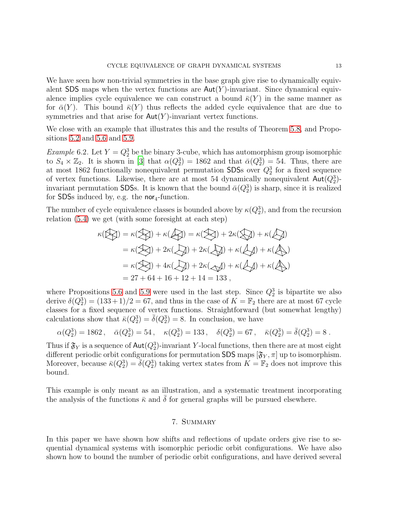We have seen how non-trivial symmetries in the base graph give rise to dynamically equivalent SDS maps when the vertex functions are  $Aut(Y)$ -invariant. Since dynamical equivalence implies cycle equivalence we can construct a bound  $\bar{\kappa}(Y)$  in the same manner as for  $\bar{\alpha}(Y)$ . This bound  $\bar{\kappa}(Y)$  thus reflects the added cycle equivalence that are due to symmetries and that arise for  $\text{Aut}(Y)$ -invariant vertex functions.

<span id="page-13-1"></span>We close with an example that illustrates this and the results of Theorem [5.8,](#page-11-0) and Propositions [5.2](#page-9-1) and [5.6](#page-10-2) and [5.9.](#page-11-2)

*Example* 6.2. Let  $Y = Q_2^3$  be the binary 3-cube, which has automorphism group isomorphic to  $S_4 \times \mathbb{Z}_2$ . It is shown in [\[3](#page-14-0)] that  $\alpha(Q_2^3) = 1862$  and that  $\bar{\alpha}(Q_2^3) = 54$ . Thus, there are at most 1862 functionally nonequivalent permutation SDSs over  $Q_2^3$  for a fixed sequence of vertex functions. Likewise, there are at most 54 dynamically nonequivalent  $\text{Aut}(Q_2^3)$ invariant permutation SDSs. It is known that the bound  $\bar{\alpha}(Q_2^3)$  is sharp, since it is realized for SDSs induced by, e.g. the nor<sub>4</sub>-function.

The number of cycle equivalence classes is bounded above by  $\kappa(Q_2^3)$ , and from the recursion relation [\(5.4\)](#page-11-3) we get (with some foresight at each step)

$$
\kappa(\mathbb{Q}) = \kappa(\mathbb{Q}) + \kappa(\mathbb{Q}) = \kappa(\mathbb{Q}) + 2\kappa(\mathbb{Q}) + \kappa(\mathbb{Q})
$$
  
=  $\kappa(\mathbb{Q}) + 2\kappa(\mathbb{Q}) + 2\kappa(\mathbb{Q}) + \kappa(\mathbb{Q}) + \kappa(\mathbb{Q})$   
=  $\kappa(\mathbb{Q}) + 4\kappa(\mathbb{Q}) + 2\kappa(\mathbb{Q}) + \kappa(\mathbb{Q}) + \kappa(\mathbb{Q})$   
= 27 + 64 + 16 + 12 + 14 = 133,

where Propositions [5.6](#page-10-2) and [5.9](#page-11-2) were used in the last step. Since  $Q_2^3$  is bipartite we also derive  $\delta(Q_2^3) = (133+1)/2 = 67$ , and thus in the case of  $\overline{K} = \mathbb{F}_2$  there are at most 67 cycle classes for a fixed sequence of vertex functions. Straightforward (but somewhat lengthy) calculations show that  $\bar{\kappa}(Q_2^3) = \bar{\delta}(Q_2^3) = 8$ . In conclusion, we have

$$
\alpha(Q_2^3) = 1862 \,, \quad \bar{\alpha}(Q_2^3) = 54 \,, \quad \kappa(Q_2^3) = 133 \,, \quad \delta(Q_2^3) = 67 \,, \quad \bar{\kappa}(Q_2^3) = \bar{\delta}(Q_2^3) = 8 \,.
$$

Thus if  $\mathfrak{F}_Y$  is a sequence of  $\text{\rm Aut}(Q_2^3)$ -invariant Y-local functions, then there are at most eight different periodic orbit configurations for permutation SDS maps  $[\mathfrak{F}_Y, \pi]$  up to isomorphism. Moreover, because  $\bar{\kappa}(Q_2^3) = \bar{\delta}(Q_2^3)$  taking vertex states from  $\bar{K} = \mathbb{F}_2$  does not improve this bound.

<span id="page-13-0"></span>This example is only meant as an illustration, and a systematic treatment incorporating the analysis of the functions  $\bar{\kappa}$  and  $\delta$  for general graphs will be pursued elsewhere.

#### 7. SUMMARY

In this paper we have shown how shifts and reflections of update orders give rise to sequential dynamical systems with isomorphic periodic orbit configurations. We have also shown how to bound the number of periodic orbit configurations, and have derived several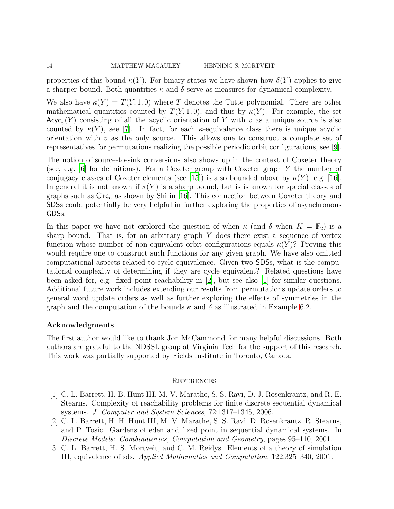properties of this bound  $\kappa(Y)$ . For binary states we have shown how  $\delta(Y)$  applies to give a sharper bound. Both quantities  $\kappa$  and  $\delta$  serve as measures for dynamical complexity.

We also have  $\kappa(Y) = T(Y, 1, 0)$  where T denotes the Tutte polynomial. There are other mathematical quantities counted by  $T(Y, 1, 0)$ , and thus by  $\kappa(Y)$ . For example, the set  $\mathsf{Acyc}_v(Y)$  consisting of all the acyclic orientation of Y with v as a unique source is also counted by  $\kappa(Y)$ , see [\[7\]](#page-15-11). In fact, for each  $\kappa$ -equivalence class there is unique acyclic orientation with  $v$  as the only source. This allows one to construct a complete set of representatives for permutations realizing the possible periodic orbit configurations, see [\[9\]](#page-15-9).

The notion of source-to-sink conversions also shows up in the context of Coxeter theory (see, e.g. [\[6](#page-15-12)] for definitions). For a Coxeter group with Coxeter graph Y the number of conjugacy classes of Coxeter elements (see [\[15](#page-15-13)]) is also bounded above by  $\kappa(Y)$ , e.g. [\[16\]](#page-15-8). In general it is not known if  $\kappa(Y)$  is a sharp bound, but is is known for special classes of graphs such as  $Circ_n$  as shown by Shi in [\[16](#page-15-8)]. This connection between Coxeter theory and SDSs could potentially be very helpful in further exploring the properties of asynchronous GDSs.

In this paper we have not explored the question of when  $\kappa$  (and  $\delta$  when  $K = \mathbb{F}_2$ ) is a sharp bound. That is, for an arbitrary graph  $Y$  does there exist a sequence of vertex function whose number of non-equivalent orbit configurations equals  $\kappa(Y)$ ? Proving this would require one to construct such functions for any given graph. We have also omitted computational aspects related to cycle equivalence. Given two SDSs, what is the computational complexity of determining if they are cycle equivalent? Related questions have been asked for, e.g. fixed point reachability in [\[2](#page-14-1)], but see also [\[1\]](#page-14-2) for similar questions. Additional future work includes extending our results from permutations update orders to general word update orders as well as further exploring the effects of symmetries in the graph and the computation of the bounds  $\bar{\kappa}$  and  $\delta$  as illustrated in Example [6.2.](#page-13-1)

#### Acknowledgments

The first author would like to thank Jon McCammond for many helpful discussions. Both authors are grateful to the NDSSL group at Virginia Tech for the support of this research. This work was partially supported by Fields Institute in Toronto, Canada.

#### **REFERENCES**

- <span id="page-14-2"></span>[1] C. L. Barrett, H. B. Hunt III, M. V. Marathe, S. S. Ravi, D. J. Rosenkrantz, and R. E. Stearns. Complexity of reachability problems for finite discrete sequential dynamical systems. *J. Computer and System Sciences*, 72:1317–1345, 2006.
- <span id="page-14-1"></span>[2] C. L. Barrett, H. H. Hunt III, M. V. Marathe, S. S. Ravi, D. Rosenkrantz, R. Stearns, and P. Tosic. Gardens of eden and fixed point in sequential dynamical systems. In *Discrete Models: Combinatorics, Computation and Geometry*, pages 95–110, 2001.
- <span id="page-14-0"></span>[3] C. L. Barrett, H. S. Mortveit, and C. M. Reidys. Elements of a theory of simulation III, equivalence of sds. *Applied Mathematics and Computation*, 122:325–340, 2001.